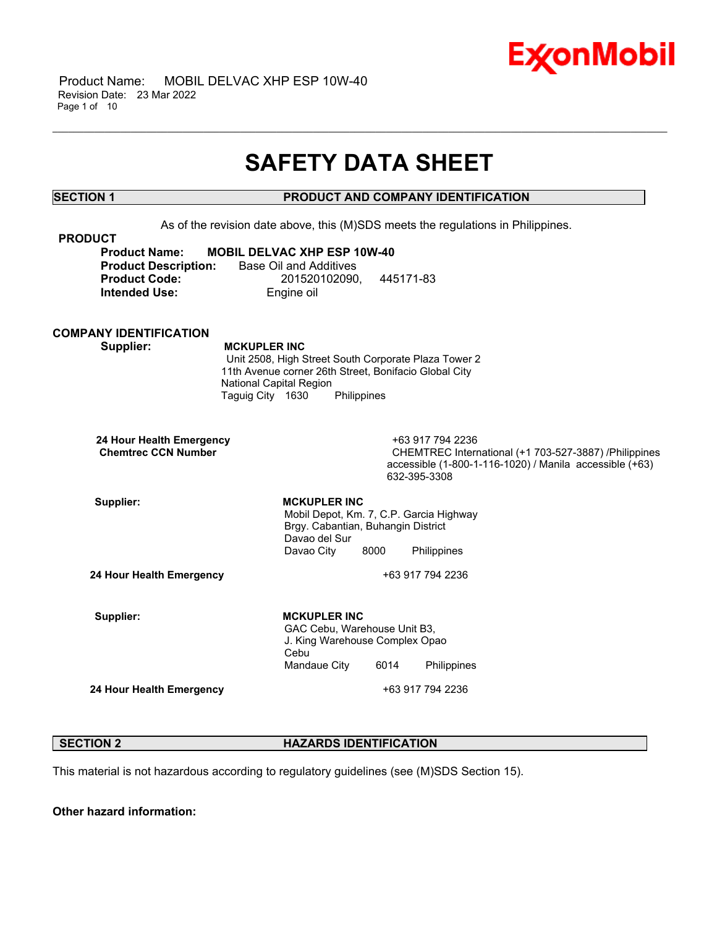

# **SAFETY DATA SHEET**

\_\_\_\_\_\_\_\_\_\_\_\_\_\_\_\_\_\_\_\_\_\_\_\_\_\_\_\_\_\_\_\_\_\_\_\_\_\_\_\_\_\_\_\_\_\_\_\_\_\_\_\_\_\_\_\_\_\_\_\_\_\_\_\_\_\_\_\_\_\_\_\_\_\_\_\_\_\_\_\_\_\_\_\_\_\_\_\_\_\_\_\_\_\_\_\_\_\_\_\_\_\_\_\_\_\_\_\_\_\_\_\_\_\_\_\_\_\_

# **SECTION 1 PRODUCT AND COMPANY IDENTIFICATION**

As of the revision date above, this (M)SDS meets the regulations in Philippines. **PRODUCT Product Name: MOBIL DELVAC XHP ESP 10W-40 Product Description:** Base Oil and Additives **Product Code:** 201520102090, 445171-83 **Intended Use:** Engine oil **COMPANY IDENTIFICATION Supplier: MCKUPLER INC** Unit 2508, High Street South Corporate Plaza Tower 2 11th Avenue corner 26th Street, Bonifacio Global City National Capital Region Taguig City 1630 Philippines **24 Hour Health Emergency** +63 917 794 2236 **CHEMTREC International (+1 703-527-3887) /Philippines** accessible (1-800-1-116-1020) / Manila accessible (+63) 632-395-3308 Supplier: **MCKUPLER** INC Mobil Depot, Km. 7, C.P. Garcia Highway Brgy. Cabantian, Buhangin District Davao del Sur Davao City 8000 Philippines **24 Hour Health Emergency** +63 917 794 2236 Supplier: **MCKUPLER** INC GAC Cebu, Warehouse Unit B3, J. King Warehouse Complex Opao Cebu Mandaue City 6014 Philippines **24 Hour Health Emergency** +63 917 794 2236

# **SECTION 2 HAZARDS IDENTIFICATION**

This material is not hazardous according to regulatory guidelines (see (M)SDS Section 15).

**Other hazard information:**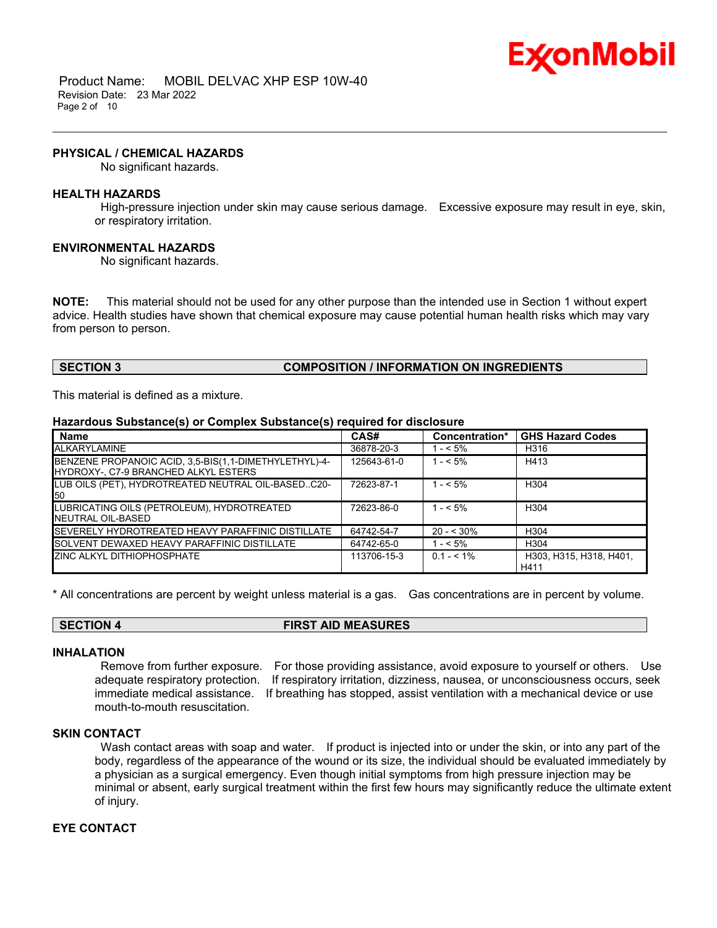

 Product Name: MOBIL DELVAC XHP ESP 10W-40 Revision Date: 23 Mar 2022 Page 2 of 10

#### **PHYSICAL / CHEMICAL HAZARDS**

No significant hazards.

#### **HEALTH HAZARDS**

High-pressure injection under skin may cause serious damage. Excessive exposure may result in eye, skin, or respiratory irritation.

\_\_\_\_\_\_\_\_\_\_\_\_\_\_\_\_\_\_\_\_\_\_\_\_\_\_\_\_\_\_\_\_\_\_\_\_\_\_\_\_\_\_\_\_\_\_\_\_\_\_\_\_\_\_\_\_\_\_\_\_\_\_\_\_\_\_\_\_\_\_\_\_\_\_\_\_\_\_\_\_\_\_\_\_\_\_\_\_\_\_\_\_\_\_\_\_\_\_\_\_\_\_\_\_\_\_\_\_\_\_\_\_\_\_\_\_\_\_

### **ENVIRONMENTAL HAZARDS**

No significant hazards.

**NOTE:** This material should not be used for any other purpose than the intended use in Section 1 without expert advice. Health studies have shown that chemical exposure may cause potential human health risks which may vary from person to person.

# **SECTION 3 COMPOSITION / INFORMATION ON INGREDIENTS**

This material is defined as a mixture.

#### **Hazardous Substance(s) or Complex Substance(s) required for disclosure**

| <b>Name</b>                                                                                   | CAS#        | Concentration* | <b>GHS Hazard Codes</b>         |
|-----------------------------------------------------------------------------------------------|-------------|----------------|---------------------------------|
| ALKARYLAMINE                                                                                  | 36878-20-3  | $1 - 5\%$      | H316                            |
| BENZENE PROPANOIC ACID, 3,5-BIS(1,1-DIMETHYLETHYL)-4-<br>HYDROXY-, C7-9 BRANCHED ALKYL ESTERS | 125643-61-0 | $1 - 5\%$      | H413                            |
| LUB OILS (PET), HYDROTREATED NEUTRAL OIL-BASEDC20-<br>50                                      | 72623-87-1  | $1 - 5\%$      | H <sub>304</sub>                |
| LUBRICATING OILS (PETROLEUM), HYDROTREATED<br>NEUTRAL OIL-BASED                               | 72623-86-0  | $1 - 5\%$      | H <sub>304</sub>                |
| SEVERELY HYDROTREATED HEAVY PARAFFINIC DISTILLATE                                             | 64742-54-7  | $20 - 530%$    | H <sub>304</sub>                |
| SOLVENT DEWAXED HEAVY PARAFFINIC DISTILLATE                                                   | 64742-65-0  | $1 - 5\%$      | H <sub>304</sub>                |
| ZINC ALKYL DITHIOPHOSPHATE                                                                    | 113706-15-3 | $0.1 - 5.1\%$  | H303, H315, H318, H401.<br>H411 |

\* All concentrations are percent by weight unless material is a gas. Gas concentrations are in percent by volume.

# **SECTION 4 FIRST AID MEASURES**

# **INHALATION**

Remove from further exposure. For those providing assistance, avoid exposure to yourself or others. Use adequate respiratory protection. If respiratory irritation, dizziness, nausea, or unconsciousness occurs, seek immediate medical assistance. If breathing has stopped, assist ventilation with a mechanical device or use mouth-to-mouth resuscitation.

### **SKIN CONTACT**

Wash contact areas with soap and water. If product is injected into or under the skin, or into any part of the body, regardless of the appearance of the wound or its size, the individual should be evaluated immediately by a physician as a surgical emergency. Even though initial symptoms from high pressure injection may be minimal or absent, early surgical treatment within the first few hours may significantly reduce the ultimate extent of injury.

# **EYE CONTACT**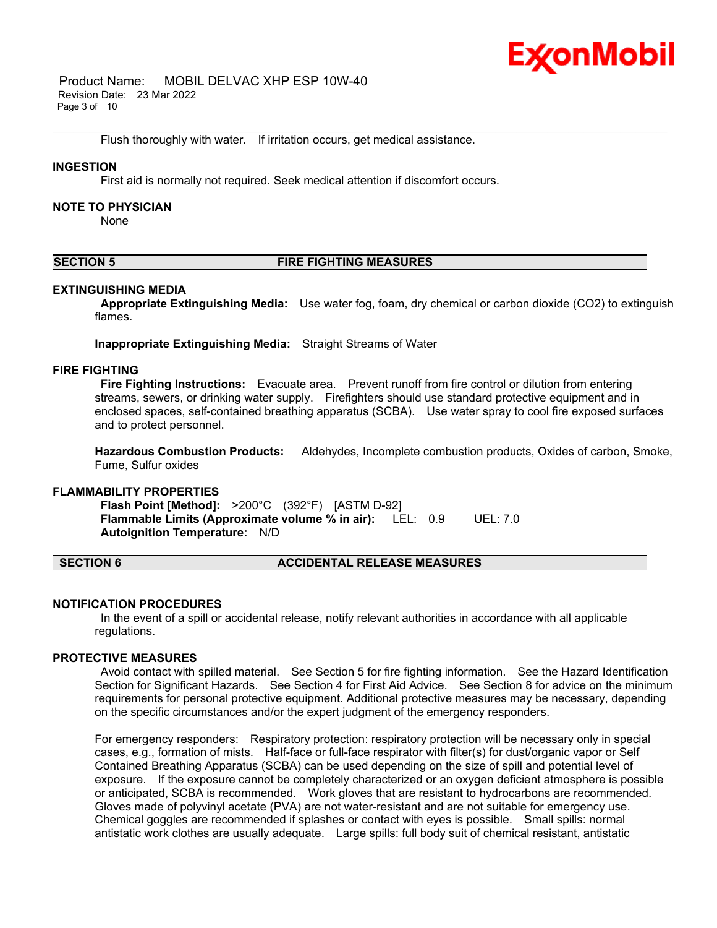

 Product Name: MOBIL DELVAC XHP ESP 10W-40 Revision Date: 23 Mar 2022 Page 3 of 10

Flush thoroughly with water. If irritation occurs, get medical assistance.

#### **INGESTION**

First aid is normally not required. Seek medical attention if discomfort occurs.

#### **NOTE TO PHYSICIAN**

None

# **SECTION 5 FIRE FIGHTING MEASURES**

\_\_\_\_\_\_\_\_\_\_\_\_\_\_\_\_\_\_\_\_\_\_\_\_\_\_\_\_\_\_\_\_\_\_\_\_\_\_\_\_\_\_\_\_\_\_\_\_\_\_\_\_\_\_\_\_\_\_\_\_\_\_\_\_\_\_\_\_\_\_\_\_\_\_\_\_\_\_\_\_\_\_\_\_\_\_\_\_\_\_\_\_\_\_\_\_\_\_\_\_\_\_\_\_\_\_\_\_\_\_\_\_\_\_\_\_\_\_

#### **EXTINGUISHING MEDIA**

**Appropriate Extinguishing Media:** Use water fog, foam, dry chemical or carbon dioxide (CO2) to extinguish flames.

**Inappropriate Extinguishing Media:** Straight Streams of Water

#### **FIRE FIGHTING**

**Fire Fighting Instructions:** Evacuate area. Prevent runoff from fire control or dilution from entering streams, sewers, or drinking water supply. Firefighters should use standard protective equipment and in enclosed spaces, self-contained breathing apparatus (SCBA). Use water spray to cool fire exposed surfaces and to protect personnel.

**Hazardous Combustion Products:** Aldehydes, Incomplete combustion products, Oxides of carbon, Smoke, Fume, Sulfur oxides

#### **FLAMMABILITY PROPERTIES**

**Flash Point [Method]:** >200°C (392°F) [ASTM D-92] **Flammable Limits (Approximate volume % in air):** LEL: 0.9 UEL: 7.0 **Autoignition Temperature:** N/D

#### **SECTION 6 ACCIDENTAL RELEASE MEASURES**

#### **NOTIFICATION PROCEDURES**

In the event of a spill or accidental release, notify relevant authorities in accordance with all applicable regulations.

#### **PROTECTIVE MEASURES**

Avoid contact with spilled material. See Section 5 for fire fighting information. See the Hazard Identification Section for Significant Hazards. See Section 4 for First Aid Advice. See Section 8 for advice on the minimum requirements for personal protective equipment. Additional protective measures may be necessary, depending on the specific circumstances and/or the expert judgment of the emergency responders.

For emergency responders: Respiratory protection: respiratory protection will be necessary only in special cases, e.g., formation of mists. Half-face or full-face respirator with filter(s) for dust/organic vapor or Self Contained Breathing Apparatus (SCBA) can be used depending on the size of spill and potential level of exposure. If the exposure cannot be completely characterized or an oxygen deficient atmosphere is possible or anticipated, SCBA is recommended. Work gloves that are resistant to hydrocarbons are recommended. Gloves made of polyvinyl acetate (PVA) are not water-resistant and are not suitable for emergency use. Chemical goggles are recommended if splashes or contact with eyes is possible. Small spills: normal antistatic work clothes are usually adequate. Large spills: full body suit of chemical resistant, antistatic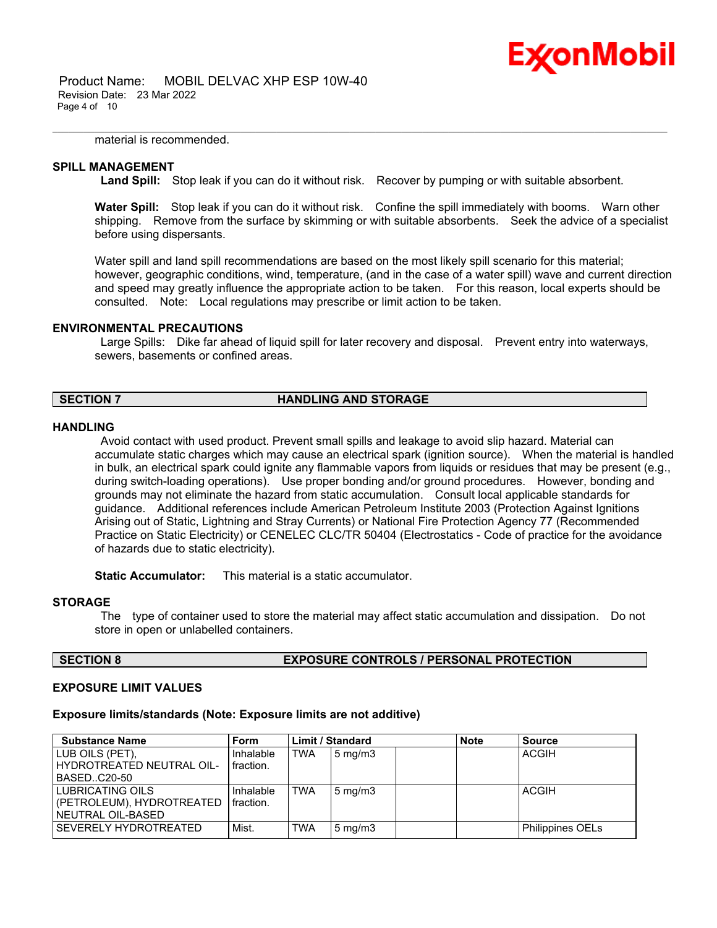

 Product Name: MOBIL DELVAC XHP ESP 10W-40 Revision Date: 23 Mar 2022 Page 4 of 10

material is recommended.

#### **SPILL MANAGEMENT**

Land Spill: Stop leak if you can do it without risk. Recover by pumping or with suitable absorbent.

\_\_\_\_\_\_\_\_\_\_\_\_\_\_\_\_\_\_\_\_\_\_\_\_\_\_\_\_\_\_\_\_\_\_\_\_\_\_\_\_\_\_\_\_\_\_\_\_\_\_\_\_\_\_\_\_\_\_\_\_\_\_\_\_\_\_\_\_\_\_\_\_\_\_\_\_\_\_\_\_\_\_\_\_\_\_\_\_\_\_\_\_\_\_\_\_\_\_\_\_\_\_\_\_\_\_\_\_\_\_\_\_\_\_\_\_\_\_

**Water Spill:** Stop leak if you can do it without risk. Confine the spill immediately with booms. Warn other shipping. Remove from the surface by skimming or with suitable absorbents. Seek the advice of a specialist before using dispersants.

Water spill and land spill recommendations are based on the most likely spill scenario for this material; however, geographic conditions, wind, temperature, (and in the case of a water spill) wave and current direction and speed may greatly influence the appropriate action to be taken. For this reason, local experts should be consulted. Note: Local regulations may prescribe or limit action to be taken.

### **ENVIRONMENTAL PRECAUTIONS**

Large Spills: Dike far ahead of liquid spill for later recovery and disposal. Prevent entry into waterways, sewers, basements or confined areas.

# **SECTION 7 HANDLING AND STORAGE**

#### **HANDLING**

Avoid contact with used product. Prevent small spills and leakage to avoid slip hazard. Material can accumulate static charges which may cause an electrical spark (ignition source). When the material is handled in bulk, an electrical spark could ignite any flammable vapors from liquids or residues that may be present (e.g., during switch-loading operations). Use proper bonding and/or ground procedures. However, bonding and grounds may not eliminate the hazard from static accumulation. Consult local applicable standards for guidance. Additional references include American Petroleum Institute 2003 (Protection Against Ignitions Arising out of Static, Lightning and Stray Currents) or National Fire Protection Agency 77 (Recommended Practice on Static Electricity) or CENELEC CLC/TR 50404 (Electrostatics - Code of practice for the avoidance of hazards due to static electricity).

**Static Accumulator:** This material is a static accumulator.

# **STORAGE**

The type of container used to store the material may affect static accumulation and dissipation. Do not store in open or unlabelled containers.

# **SECTION 8 EXPOSURE CONTROLS / PERSONAL PROTECTION**

### **EXPOSURE LIMIT VALUES**

### **Exposure limits/standards (Note: Exposure limits are not additive)**

| <b>Substance Name</b>     | <b>Form</b> |            | <b>Limit / Standard</b> | <b>Note</b> | <b>Source</b>    |
|---------------------------|-------------|------------|-------------------------|-------------|------------------|
| LUB OILS (PET).           | Inhalable   | <b>TWA</b> | $5 \text{ mg/m}$        |             | <b>ACGIH</b>     |
| HYDROTREATED NEUTRAL OIL- | fraction.   |            |                         |             |                  |
| BASEDC20-50               |             |            |                         |             |                  |
| LUBRICATING OILS          | Inhalable   | <b>TWA</b> | $5 \text{ mg/m}$        |             | <b>ACGIH</b>     |
| (PETROLEUM), HYDROTREATED | fraction.   |            |                         |             |                  |
| NEUTRAL OIL-BASED         |             |            |                         |             |                  |
| SEVERELY HYDROTREATED     | Mist.       | <b>TWA</b> | $5 \text{ mg/m}$ 3      |             | Philippines OELs |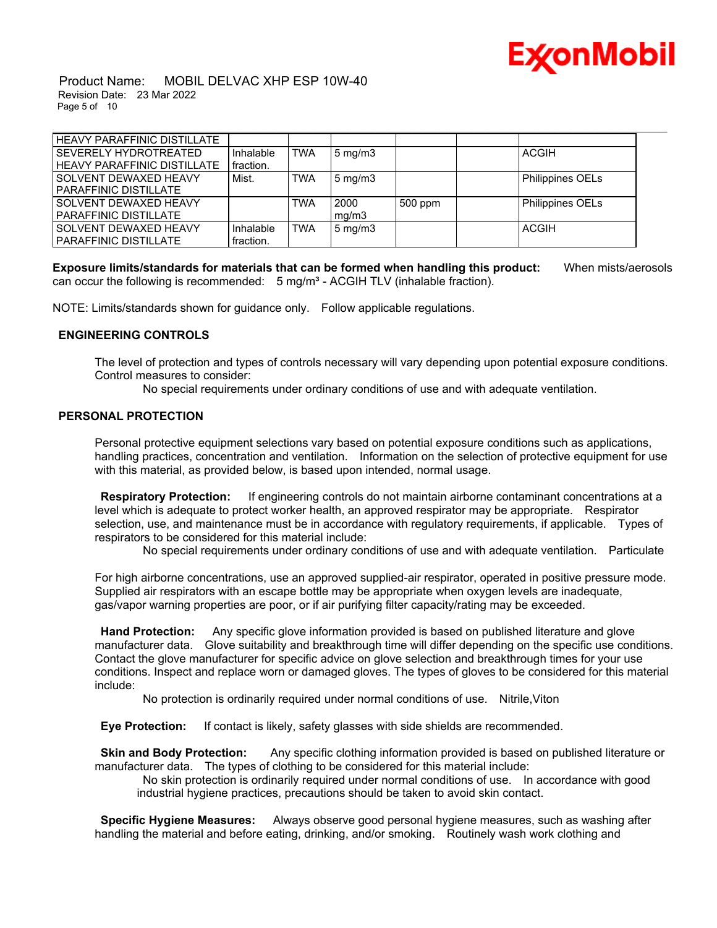

 Product Name: MOBIL DELVAC XHP ESP 10W-40 Revision Date: 23 Mar 2022 Page 5 of 10

| <b>HEAVY PARAFFINIC DISTILLATE</b> |           |            |                    |         |                         |  |
|------------------------------------|-----------|------------|--------------------|---------|-------------------------|--|
| <b>SEVERELY HYDROTREATED</b>       | Inhalable | <b>TWA</b> | $5 \text{ mg/m}$ 3 |         | <b>ACGIH</b>            |  |
| <b>HEAVY PARAFFINIC DISTILLATE</b> | fraction. |            |                    |         |                         |  |
| <b>SOLVENT DEWAXED HEAVY</b>       | Mist.     | <b>TWA</b> | $5 \text{ mg/m}$ 3 |         | Philippines OELs        |  |
| PARAFFINIC DISTILLATE              |           |            |                    |         |                         |  |
| <b>SOLVENT DEWAXED HEAVY</b>       |           | <b>TWA</b> | 2000               | 500 ppm | <b>Philippines OELs</b> |  |
| <b>PARAFFINIC DISTILLATE</b>       |           |            | mq/m3              |         |                         |  |
| <b>SOLVENT DEWAXED HEAVY</b>       | Inhalable | <b>TWA</b> | $5 \text{ mg/m}$   |         | ACGIH                   |  |
| PARAFFINIC DISTILLATE              | fraction. |            |                    |         |                         |  |

**Exposure limits/standards for materials that can be formed when handling this product:** When mists/aerosols can occur the following is recommended:  $5 \text{ mg/m}^3$  - ACGIH TLV (inhalable fraction).

NOTE: Limits/standards shown for guidance only. Follow applicable regulations.

# **ENGINEERING CONTROLS**

The level of protection and types of controls necessary will vary depending upon potential exposure conditions. Control measures to consider:

No special requirements under ordinary conditions of use and with adequate ventilation.

# **PERSONAL PROTECTION**

Personal protective equipment selections vary based on potential exposure conditions such as applications, handling practices, concentration and ventilation. Information on the selection of protective equipment for use with this material, as provided below, is based upon intended, normal usage.

**Respiratory Protection:** If engineering controls do not maintain airborne contaminant concentrations at a level which is adequate to protect worker health, an approved respirator may be appropriate. Respirator selection, use, and maintenance must be in accordance with regulatory requirements, if applicable. Types of respirators to be considered for this material include:

No special requirements under ordinary conditions of use and with adequate ventilation. Particulate

For high airborne concentrations, use an approved supplied-air respirator, operated in positive pressure mode. Supplied air respirators with an escape bottle may be appropriate when oxygen levels are inadequate, gas/vapor warning properties are poor, or if air purifying filter capacity/rating may be exceeded.

**Hand Protection:** Any specific glove information provided is based on published literature and glove manufacturer data. Glove suitability and breakthrough time will differ depending on the specific use conditions. Contact the glove manufacturer for specific advice on glove selection and breakthrough times for your use conditions. Inspect and replace worn or damaged gloves. The types of gloves to be considered for this material include:

No protection is ordinarily required under normal conditions of use. Nitrile,Viton

**Eye Protection:** If contact is likely, safety glasses with side shields are recommended.

**Skin and Body Protection:** Any specific clothing information provided is based on published literature or manufacturer data. The types of clothing to be considered for this material include:

No skin protection is ordinarily required under normal conditions of use. In accordance with good industrial hygiene practices, precautions should be taken to avoid skin contact.

**Specific Hygiene Measures:** Always observe good personal hygiene measures, such as washing after handling the material and before eating, drinking, and/or smoking. Routinely wash work clothing and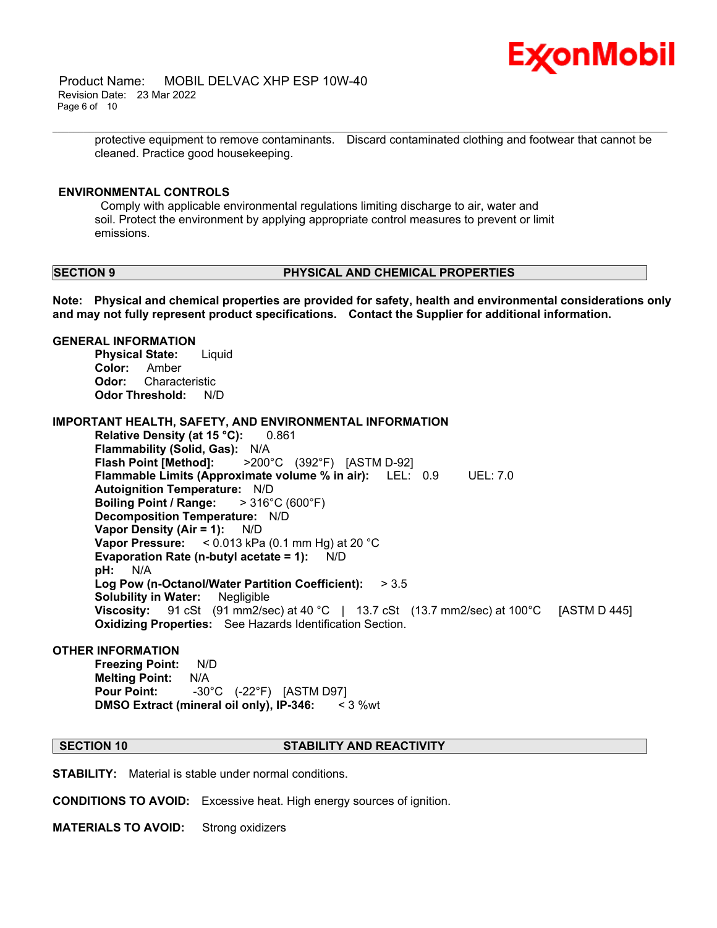

 Product Name: MOBIL DELVAC XHP ESP 10W-40 Revision Date: 23 Mar 2022 Page 6 of 10

> protective equipment to remove contaminants. Discard contaminated clothing and footwear that cannot be cleaned. Practice good housekeeping.

\_\_\_\_\_\_\_\_\_\_\_\_\_\_\_\_\_\_\_\_\_\_\_\_\_\_\_\_\_\_\_\_\_\_\_\_\_\_\_\_\_\_\_\_\_\_\_\_\_\_\_\_\_\_\_\_\_\_\_\_\_\_\_\_\_\_\_\_\_\_\_\_\_\_\_\_\_\_\_\_\_\_\_\_\_\_\_\_\_\_\_\_\_\_\_\_\_\_\_\_\_\_\_\_\_\_\_\_\_\_\_\_\_\_\_\_\_\_

### **ENVIRONMENTAL CONTROLS**

Comply with applicable environmental regulations limiting discharge to air, water and soil. Protect the environment by applying appropriate control measures to prevent or limit emissions.

### **SECTION 9 PHYSICAL AND CHEMICAL PROPERTIES**

**Note: Physical and chemical properties are provided for safety, health and environmental considerations only and may not fully represent product specifications. Contact the Supplier for additional information.**

#### **GENERAL INFORMATION**

**Physical State:** Liquid **Color:** Amber **Odor:** Characteristic **Odor Threshold:** N/D

**IMPORTANT HEALTH, SAFETY, AND ENVIRONMENTAL INFORMATION**

**Relative Density (at 15 °C):** 0.861 **Flammability (Solid, Gas):** N/A **Flash Point [Method]:** >200°C (392°F) [ASTM D-92] **Flammable Limits (Approximate volume % in air):** LEL: 0.9 UEL: 7.0 **Autoignition Temperature:** N/D **Boiling Point / Range:** > 316°C (600°F) **Decomposition Temperature:** N/D **Vapor Density (Air = 1):** N/D **Vapor Pressure:** < 0.013 kPa (0.1 mm Hg) at 20 °C **Evaporation Rate (n-butyl acetate = 1):** N/D **pH:** N/A **Log Pow (n-Octanol/Water Partition Coefficient):** > 3.5 **Solubility in Water:** Negligible **Viscosity:** 91 cSt (91 mm2/sec) at 40 °C | 13.7 cSt (13.7 mm2/sec) at 100 °C [ASTM D 445] **Oxidizing Properties:** See Hazards Identification Section.

# **OTHER INFORMATION**

**Freezing Point:** N/D **Melting Point:** N/A **Pour Point:** -30°C (-22°F) [ASTM D97] **DMSO Extract (mineral oil only), IP-346:** < 3 %wt

#### **SECTION 10 STABILITY AND REACTIVITY**

**STABILITY:** Material is stable under normal conditions.

**CONDITIONS TO AVOID:** Excessive heat. High energy sources of ignition.

**MATERIALS TO AVOID:** Strong oxidizers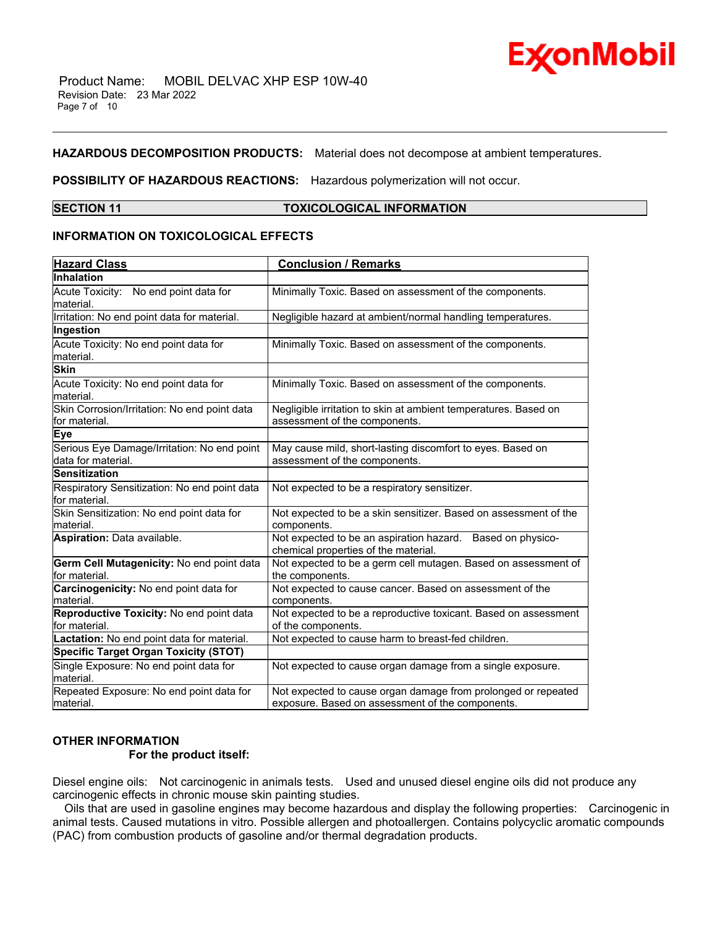

## **HAZARDOUS DECOMPOSITION PRODUCTS:** Material does not decompose at ambient temperatures.

# **POSSIBILITY OF HAZARDOUS REACTIONS:** Hazardous polymerization will not occur.

# **SECTION 11 TOXICOLOGICAL INFORMATION**

\_\_\_\_\_\_\_\_\_\_\_\_\_\_\_\_\_\_\_\_\_\_\_\_\_\_\_\_\_\_\_\_\_\_\_\_\_\_\_\_\_\_\_\_\_\_\_\_\_\_\_\_\_\_\_\_\_\_\_\_\_\_\_\_\_\_\_\_\_\_\_\_\_\_\_\_\_\_\_\_\_\_\_\_\_\_\_\_\_\_\_\_\_\_\_\_\_\_\_\_\_\_\_\_\_\_\_\_\_\_\_\_\_\_\_\_\_\_

# **INFORMATION ON TOXICOLOGICAL EFFECTS**

| <b>Hazard Class</b>                                           | <b>Conclusion / Remarks</b>                                                                        |
|---------------------------------------------------------------|----------------------------------------------------------------------------------------------------|
| Inhalation                                                    |                                                                                                    |
| Acute Toxicity: No end point data for                         | Minimally Toxic. Based on assessment of the components.                                            |
| material.                                                     |                                                                                                    |
| Irritation: No end point data for material.                   | Negligible hazard at ambient/normal handling temperatures.                                         |
| Ingestion                                                     |                                                                                                    |
| Acute Toxicity: No end point data for                         | Minimally Toxic. Based on assessment of the components.                                            |
| material.                                                     |                                                                                                    |
| <b>Skin</b>                                                   |                                                                                                    |
| Acute Toxicity: No end point data for<br>material.            | Minimally Toxic. Based on assessment of the components.                                            |
| Skin Corrosion/Irritation: No end point data                  | Negligible irritation to skin at ambient temperatures. Based on                                    |
| lfor material.                                                | assessment of the components.                                                                      |
| Eye                                                           |                                                                                                    |
| Serious Eye Damage/Irritation: No end point                   | May cause mild, short-lasting discomfort to eyes. Based on                                         |
| data for material.<br><b>Sensitization</b>                    | assessment of the components.                                                                      |
|                                                               |                                                                                                    |
| Respiratory Sensitization: No end point data<br>for material. | Not expected to be a respiratory sensitizer.                                                       |
| Skin Sensitization: No end point data for<br>material.        | Not expected to be a skin sensitizer. Based on assessment of the<br>components.                    |
| Aspiration: Data available.                                   | Not expected to be an aspiration hazard. Based on physico-<br>chemical properties of the material. |
| Germ Cell Mutagenicity: No end point data<br>for material.    | Not expected to be a germ cell mutagen. Based on assessment of<br>the components.                  |
| Carcinogenicity: No end point data for<br>lmaterial.          | Not expected to cause cancer. Based on assessment of the<br>components.                            |
| Reproductive Toxicity: No end point data                      | Not expected to be a reproductive toxicant. Based on assessment                                    |
| lfor material.                                                | of the components.                                                                                 |
| Lactation: No end point data for material.                    | Not expected to cause harm to breast-fed children.                                                 |
| <b>Specific Target Organ Toxicity (STOT)</b>                  |                                                                                                    |
| Single Exposure: No end point data for<br>lmaterial.          | Not expected to cause organ damage from a single exposure.                                         |
| Repeated Exposure: No end point data for                      | Not expected to cause organ damage from prolonged or repeated                                      |
| material.                                                     | exposure. Based on assessment of the components.                                                   |

# **OTHER INFORMATION**

# **For the product itself:**

Diesel engine oils: Not carcinogenic in animals tests. Used and unused diesel engine oils did not produce any carcinogenic effects in chronic mouse skin painting studies.

 Oils that are used in gasoline engines may become hazardous and display the following properties: Carcinogenic in animal tests. Caused mutations in vitro. Possible allergen and photoallergen. Contains polycyclic aromatic compounds (PAC) from combustion products of gasoline and/or thermal degradation products.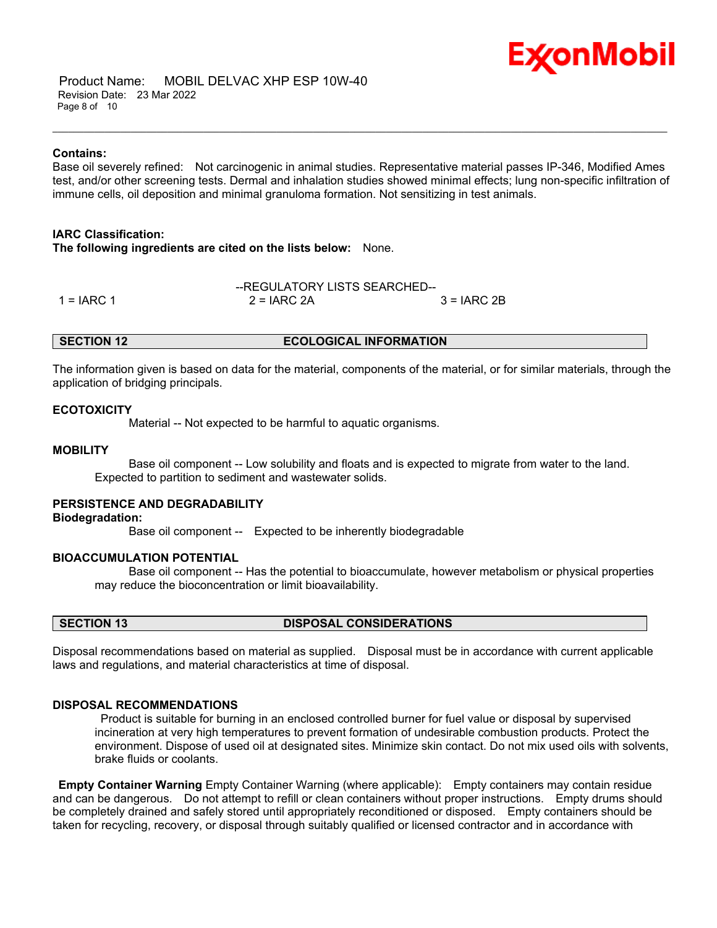

 Product Name: MOBIL DELVAC XHP ESP 10W-40 Revision Date: 23 Mar 2022 Page 8 of 10

#### **Contains:**

Base oil severely refined: Not carcinogenic in animal studies. Representative material passes IP-346, Modified Ames test, and/or other screening tests. Dermal and inhalation studies showed minimal effects; lung non-specific infiltration of immune cells, oil deposition and minimal granuloma formation. Not sensitizing in test animals.

\_\_\_\_\_\_\_\_\_\_\_\_\_\_\_\_\_\_\_\_\_\_\_\_\_\_\_\_\_\_\_\_\_\_\_\_\_\_\_\_\_\_\_\_\_\_\_\_\_\_\_\_\_\_\_\_\_\_\_\_\_\_\_\_\_\_\_\_\_\_\_\_\_\_\_\_\_\_\_\_\_\_\_\_\_\_\_\_\_\_\_\_\_\_\_\_\_\_\_\_\_\_\_\_\_\_\_\_\_\_\_\_\_\_\_\_\_\_

### **IARC Classification:**

**The following ingredients are cited on the lists below:** None.

|               | --REGULATORY LISTS SEARCHED-- |              |  |  |  |  |
|---------------|-------------------------------|--------------|--|--|--|--|
| 1 = $I$ ARC 1 | $2 = IARC 2A$                 | $3 = IARC2B$ |  |  |  |  |

**SECTION 12 ECOLOGICAL INFORMATION**

The information given is based on data for the material, components of the material, or for similar materials, through the application of bridging principals.

### **ECOTOXICITY**

Material -- Not expected to be harmful to aquatic organisms.

#### **MOBILITY**

 Base oil component -- Low solubility and floats and is expected to migrate from water to the land. Expected to partition to sediment and wastewater solids.

# **PERSISTENCE AND DEGRADABILITY**

**Biodegradation:**

Base oil component -- Expected to be inherently biodegradable

#### **BIOACCUMULATION POTENTIAL**

 Base oil component -- Has the potential to bioaccumulate, however metabolism or physical properties may reduce the bioconcentration or limit bioavailability.

#### **SECTION 13 DISPOSAL CONSIDERATIONS**

Disposal recommendations based on material as supplied. Disposal must be in accordance with current applicable laws and regulations, and material characteristics at time of disposal.

# **DISPOSAL RECOMMENDATIONS**

Product is suitable for burning in an enclosed controlled burner for fuel value or disposal by supervised incineration at very high temperatures to prevent formation of undesirable combustion products. Protect the environment. Dispose of used oil at designated sites. Minimize skin contact. Do not mix used oils with solvents, brake fluids or coolants.

**Empty Container Warning** Empty Container Warning (where applicable): Empty containers may contain residue and can be dangerous. Do not attempt to refill or clean containers without proper instructions. Empty drums should be completely drained and safely stored until appropriately reconditioned or disposed. Empty containers should be taken for recycling, recovery, or disposal through suitably qualified or licensed contractor and in accordance with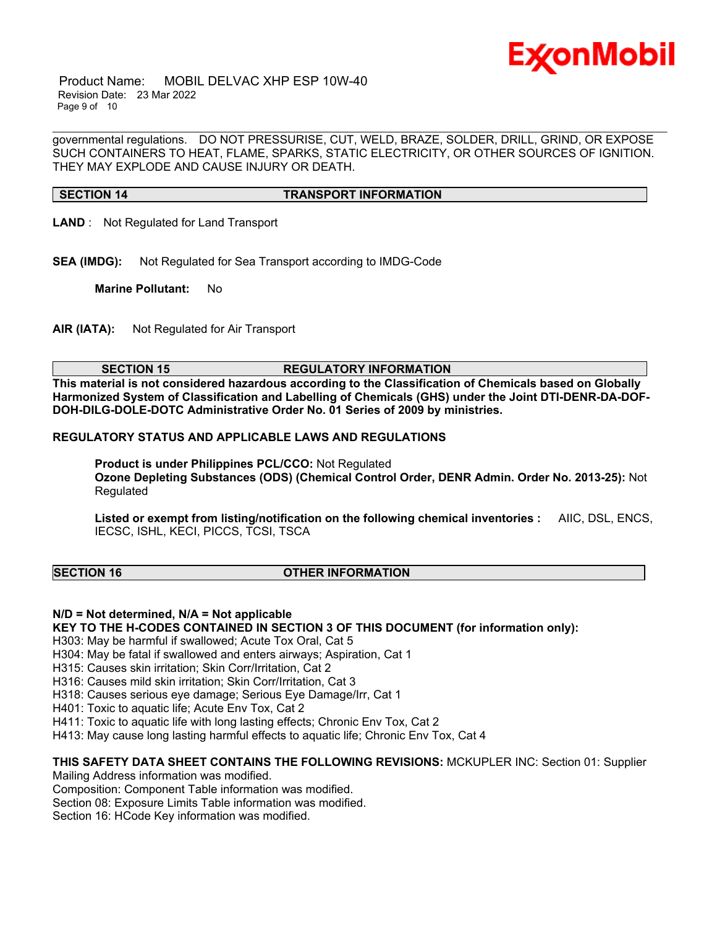

 Product Name: MOBIL DELVAC XHP ESP 10W-40 Revision Date: 23 Mar 2022 Page 9 of 10

governmental regulations. DO NOT PRESSURISE, CUT, WELD, BRAZE, SOLDER, DRILL, GRIND, OR EXPOSE SUCH CONTAINERS TO HEAT, FLAME, SPARKS, STATIC ELECTRICITY, OR OTHER SOURCES OF IGNITION. THEY MAY EXPLODE AND CAUSE INJURY OR DEATH.

\_\_\_\_\_\_\_\_\_\_\_\_\_\_\_\_\_\_\_\_\_\_\_\_\_\_\_\_\_\_\_\_\_\_\_\_\_\_\_\_\_\_\_\_\_\_\_\_\_\_\_\_\_\_\_\_\_\_\_\_\_\_\_\_\_\_\_\_\_\_\_\_\_\_\_\_\_\_\_\_\_\_\_\_\_\_\_\_\_\_\_\_\_\_\_\_\_\_\_\_\_\_\_\_\_\_\_\_\_\_\_\_\_\_\_\_\_\_

#### **SECTION 14 TRANSPORT INFORMATION**

- **LAND** : Not Regulated for Land Transport
- **SEA (IMDG):** Not Regulated for Sea Transport according to IMDG-Code

**Marine Pollutant:** No

**AIR (IATA):** Not Regulated for Air Transport

### **SECTION 15 REGULATORY INFORMATION**

**This material is not considered hazardous according to the Classification of Chemicals based on Globally Harmonized System of Classification and Labelling of Chemicals (GHS) under the Joint DTI-DENR-DA-DOF-DOH-DILG-DOLE-DOTC Administrative Order No. 01 Series of 2009 by ministries.**

### **REGULATORY STATUS AND APPLICABLE LAWS AND REGULATIONS**

**Product is under Philippines PCL/CCO:** Not Regulated **Ozone Depleting Substances (ODS) (Chemical Control Order, DENR Admin. Order No. 2013-25):** Not Regulated

**Listed or exempt from listing/notification on the following chemical inventories :** AIIC, DSL, ENCS, IECSC, ISHL, KECI, PICCS, TCSI, TSCA

# **SECTION 16 OTHER INFORMATION**

# **N/D = Not determined, N/A = Not applicable**

**KEY TO THE H-CODES CONTAINED IN SECTION 3 OF THIS DOCUMENT (for information only):**

H303: May be harmful if swallowed; Acute Tox Oral, Cat 5

H304: May be fatal if swallowed and enters airways; Aspiration, Cat 1

H315: Causes skin irritation; Skin Corr/Irritation, Cat 2

H316: Causes mild skin irritation; Skin Corr/Irritation, Cat 3

H318: Causes serious eye damage; Serious Eye Damage/Irr, Cat 1

H401: Toxic to aquatic life; Acute Env Tox, Cat 2

H411: Toxic to aquatic life with long lasting effects; Chronic Env Tox, Cat 2

H413: May cause long lasting harmful effects to aquatic life; Chronic Env Tox, Cat 4

# **THIS SAFETY DATA SHEET CONTAINS THE FOLLOWING REVISIONS:** MCKUPLER INC: Section 01: Supplier

Mailing Address information was modified.

Composition: Component Table information was modified.

Section 08: Exposure Limits Table information was modified.

Section 16: HCode Key information was modified.